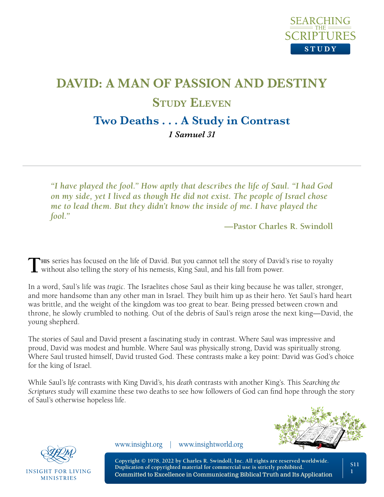

# **DAVID: A MAN OF PASSION AND DESTINY Study Eleven Two Deaths . . . A Study in Contrast** *1 Samuel 31*

*"I have played the fool." How aptly that describes the life of Saul. "I had God on my side, yet I lived as though He did not exist. The people of Israel chose me to lead them. But they didn't know the inside of me. I have played the fool."*

**—Pastor Charles R. Swindoll**

This series has focused on the life of David. But you cannot tell the story of David's rise to royalty without also telling the story of his nemesis, King Saul, and his fall from power.

In a word, Saul's life was *tragic*. The Israelites chose Saul as their king because he was taller, stronger, and more handsome than any other man in Israel. They built him up as their hero. Yet Saul's hard heart was brittle, and the weight of the kingdom was too great to bear. Being pressed between crown and throne, he slowly crumbled to nothing. Out of the debris of Saul's reign arose the next king—David, the young shepherd.

The stories of Saul and David present a fascinating study in contrast. Where Saul was impressive and proud, David was modest and humble. Where Saul was physically strong, David was spiritually strong. Where Saul trusted himself, David trusted God. These contrasts make a key point: David was God's choice for the king of Israel.

While Saul's *life* contrasts with King David's, his *death* contrasts with another King's. This *Searching the Scriptures* study will examine these two deaths to see how followers of God can find hope through the story of Saul's otherwise hopeless life.





**INSIGHT FOR LIVING MINISTRIES** 

www.insight.org | www.insightworld.org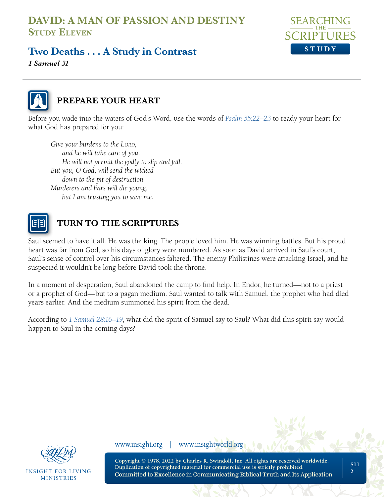

## **Two Deaths . . . A Study in Contrast**

*1 Samuel 31* 



#### **PREPARE YOUR HEART**

Before you wade into the waters of God's Word, use the words of *[Psalm 55:22–23](https://www.biblegateway.com/passage/?search=Psalm+55&version=NLT;NASB1995)* to ready your heart for what God has prepared for you:

*Give your burdens to the LORD*, *and he will take care of you. He will not permit the godly to slip and fall. But you, O God, will send the wicked down to the pit of destruction. Murderers and liars will die young, but I am trusting you to save me.* 



#### **TURN TO THE SCRIPTURES**

Saul seemed to have it all. He was the king. The people loved him. He was winning battles. But his proud heart was far from God, so his days of glory were numbered. As soon as David arrived in Saul's court, Saul's sense of control over his circumstances faltered. The enemy Philistines were attacking Israel, and he suspected it wouldn't be long before David took the throne.

In a moment of desperation, Saul abandoned the camp to find help. In Endor, he turned—not to a priest or a prophet of God—but to a pagan medium. Saul wanted to talk with Samuel, the prophet who had died years earlier. And the medium summoned his spirit from the dead.

According to *[1 Samuel 28:16–19](https://www.biblegateway.com/passage/?search=1%20Samuel%2028%3A16%E2%80%9319&version=NLT;NASB1995)*, what did the spirit of Samuel say to Saul? What did this spirit say would happen to Saul in the coming days?



**INSIGHT FOR LIVING MINISTRIES** 

www.insight.org | www.insightworld.org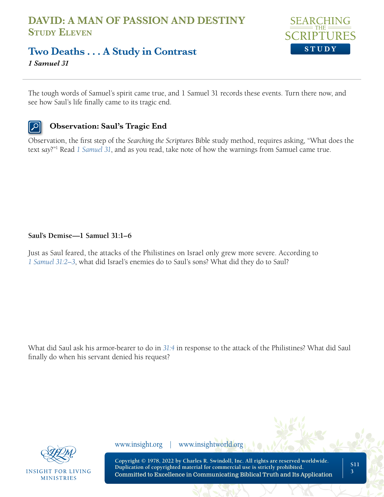

## **Two Deaths . . . A Study in Contrast**

*1 Samuel 31* 

The tough words of Samuel's spirit came true, and 1 Samuel 31 records these events. Turn there now, and see how Saul's life finally came to its tragic end.

#### **Observation: Saul's Tragic End**

Observation, the first step of the *Searching the Scriptures* Bible study method, requires asking, "What does the text *say*?"1 Read *[1 Samuel 31](https://www.biblegateway.com/passage/?search=1+Samuel+31&version=NLT;NASB1995)*, and as you read, take note of how the warnings from Samuel came true.

#### **Saul's Demise—1 Samuel 31:1–6**

Just as Saul feared, the attacks of the Philistines on Israel only grew more severe. According to *[1 Samuel 31:2–3](https://www.biblegateway.com/passage/?search=1+Samuel+31%3A2%E2%80%933&version=NLT;NASB1995)*, what did Israel's enemies do to Saul's sons? What did they do to Saul?

What did Saul ask his armor-bearer to do in *[31:4](https://www.biblegateway.com/passage/?search=1+Samuel+31%3A4&version=NLT;NASB1995)* in response to the attack of the Philistines? What did Saul finally do when his servant denied his request?



**INSIGHT FOR LIVING MINISTRIES** 

www.insight.org | www.insightworld.org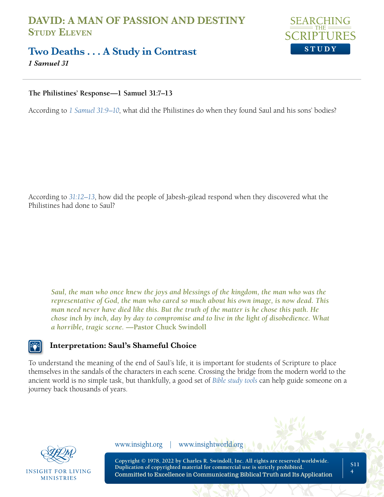

## **Two Deaths . . . A Study in Contrast**

*1 Samuel 31* 

#### **The Philistines' Response—1 Samuel 31:7–13**

According to *[1 Samuel 31:9–10](https://www.biblegateway.com/passage/?search=1+Samuel+31%3A9%E2%80%9310&version=NLT;NASB1995)*, what did the Philistines do when they found Saul and his sons' bodies?

According to *[31:12–13](https://www.biblegateway.com/passage/?search=1+Samuel+31%3A12%E2%80%9313&version=NLT;NASB1995)*, how did the people of Jabesh-gilead respond when they discovered what the Philistines had done to Saul?

*Saul, the man who once knew the joys and blessings of the kingdom, the man who was the representative of God, the man who cared so much about his own image, is now dead. This man need never have died like this. But the truth of the matter is he chose this path. He chose inch by inch, day by day to compromise and to live in the light of disobedience. What a horrible, tragic scene.* **—Pastor Chuck Swindoll**

#### **Interpretation: Saul's Shameful Choice**

To understand the meaning of the end of Saul's life, it is important for students of Scripture to place themselves in the sandals of the characters in each scene. Crossing the bridge from the modern world to the ancient world is no simple task, but thankfully, a good set of *[Bible study tools](https://netbible.org/bible/1+Samuel+31)* can help guide someone on a journey back thousands of years.



INSIGHT FOR LIVING **MINISTRIES** 

www.insight.org | www.insightworld.org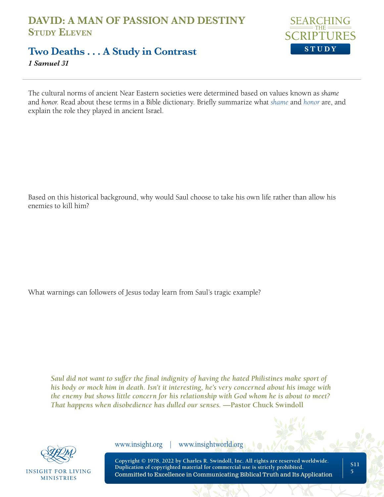

## **Two Deaths . . . A Study in Contrast**

*1 Samuel 31* 

The cultural norms of ancient Near Eastern societies were determined based on values known as *shame* and *honor*. Read about these terms in a Bible dictionary. Briefly summarize what *[shame](https://www.biblestudytools.com/dictionaries/bakers-evangelical-dictionary/shame.html)* and *[honor](https://www.biblestudytools.com/dictionaries/bakers-evangelical-dictionary/honor.html)* are, and explain the role they played in ancient Israel.

Based on this historical background, why would Saul choose to take his own life rather than allow his enemies to kill him?

What warnings can followers of Jesus today learn from Saul's tragic example?

*Saul did not want to suffer the final indignity of having the hated Philistines make sport of his body or mock him in death. Isn't it interesting, he's very concerned about his image with the enemy but shows little concern for his relationship with God whom he is about to meet? That happens when disobedience has dulled our senses.* **—Pastor Chuck Swindoll**



**INSIGHT FOR LIVING MINISTRIES** 

www.insight.org | www.insightworld.org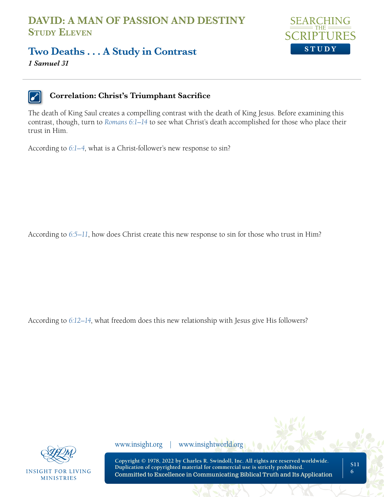

#### **Two Deaths . . . A Study in Contrast**

*1 Samuel 31* 



#### **Correlation: Christ's Triumphant Sacrifice**

The death of King Saul creates a compelling contrast with the death of King Jesus. Before examining this contrast, though, turn to *[Romans 6:1–14](https://www.biblegateway.com/passage/?search=Romans+6%3A1%E2%80%9314&version=NLT;NASB1995)* to see what Christ's death accomplished for those who place their trust in Him.

According to *[6:1–4](https://www.biblegateway.com/passage/?search=Romans+6%3A1%E2%80%934&version=NLT;NASB1995)*, what is a Christ-follower's new response to sin?

According to *[6:5–11](https://www.biblegateway.com/passage/?search=Romans+6%3A5%E2%80%9311&version=NLT;NASB1995)*, how does Christ create this new response to sin for those who trust in Him?

According to *[6:12–14](https://www.biblegateway.com/passage/?search=Romans+6%3A12%E2%80%9314&version=NLT;NASB1995)*, what freedom does this new relationship with Jesus give His followers?



**INSIGHT FOR LIVING MINISTRIES** 

www.insight.org | www.insightworld.org

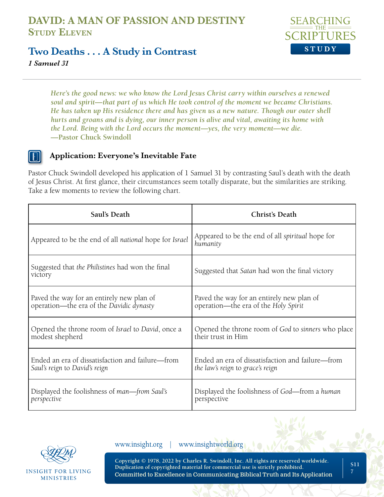

#### **Two Deaths . . . A Study in Contrast**

*1 Samuel 31* 

*Here's the good news: we who know the Lord Jesus Christ carry within ourselves a renewed soul and spirit—that part of us which He took control of the moment we became Christians. He has taken up His residence there and has given us a new nature. Though our outer shell hurts and groans and is dying, our inner person is alive and vital, awaiting its home with the Lord. Being with the Lord occurs the moment—yes, the very moment—we die.*  **—Pastor Chuck Swindoll**

#### **Application: Everyone's Inevitable Fate**

Pastor Chuck Swindoll developed his application of 1 Samuel 31 by contrasting Saul's death with the death of Jesus Christ. At first glance, their circumstances seem totally disparate, but the similarities are striking. Take a few moments to review the following chart.

| Saul's Death                                                | Christ's Death                                               |
|-------------------------------------------------------------|--------------------------------------------------------------|
| Appeared to be the end of all national hope for Israel      | Appeared to be the end of all spiritual hope for<br>humanity |
| Suggested that the Philistines had won the final<br>victory | Suggested that Satan had won the final victory               |
| Paved the way for an entirely new plan of                   | Paved the way for an entirely new plan of                    |
| operation—the era of the Davidic dynasty                    | operation—the era of the Holy Spirit                         |
| Opened the throne room of Israel to David, once a           | Opened the throne room of God to sinners who place           |
| modest shepherd                                             | their trust in Him                                           |
| Ended an era of dissatisfaction and failure—from            | Ended an era of dissatisfaction and failure—from             |
| Saul's reign to David's reign                               | the law's reign to grace's reign                             |
| Displayed the foolishness of man—from Saul's                | Displayed the foolishness of God—from a human                |
| perspective                                                 | perspective                                                  |



**INSIGHT FOR LIVING MINISTRIES** 

www.insight.org | www.insightworld.org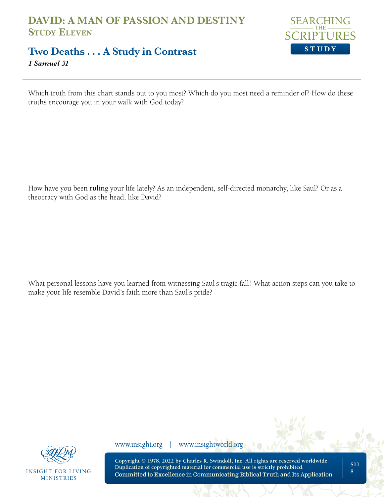

## **Two Deaths . . . A Study in Contrast**

*1 Samuel 31* 

Which truth from this chart stands out to you most? Which do you most need a reminder of? How do these truths encourage you in your walk with God today?

How have you been ruling your life lately? As an independent, self-directed monarchy, like Saul? Or as a theocracy with God as the head, like David?

What personal lessons have you learned from witnessing Saul's tragic fall? What action steps can you take to make your life resemble David's faith more than Saul's pride?



**INSIGHT FOR LIVING MINISTRIES** 

www.insight.org | www.insightworld.org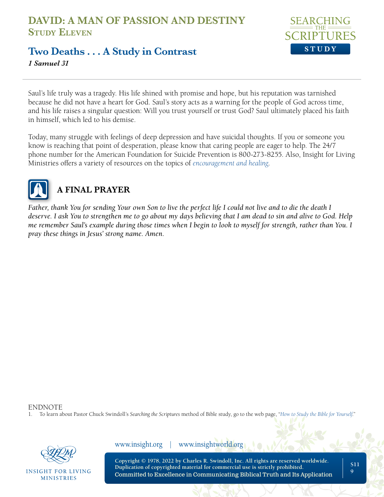

## **Two Deaths . . . A Study in Contrast**

*1 Samuel 31* 

Saul's life truly was a tragedy. His life shined with promise and hope, but his reputation was tarnished because he did not have a heart for God. Saul's story acts as a warning for the people of God across time, and his life raises a singular question: Will you trust yourself or trust God? Saul ultimately placed his faith in himself, which led to his demise.

Today, many struggle with feelings of deep depression and have suicidal thoughts. If you or someone you know is reaching that point of desperation, please know that caring people are eager to help. The 24/7 phone number for the American Foundation for Suicide Prevention is 800-273-8255. Also, Insight for Living Ministries offers a variety of resources on the topics of *[encouragement and healing](https://www.insight.org/resources/article-library/encouragement--healing)*.



## **A FINAL PRAYER**

*Father, thank You for sending Your own Son to live the perfect life I could not live and to die the death I deserve. I ask You to strengthen me to go about my days believing that I am dead to sin and alive to God. Help me remember Saul's example during those times when I begin to look to myself for strength, rather than You. I pray these things in Jesus' strong name. Amen.*

ENDNOTE

1. To learn about Pastor Chuck Swindoll's *Searching the Scriptures* method of Bible study, go to the web page, "*[How to Study the Bible for Yourself](https://sts.insight.org/)*."



INSIGHT FOR LIVING **MINISTRIES** 

www.insight.org | www.insightworld.org